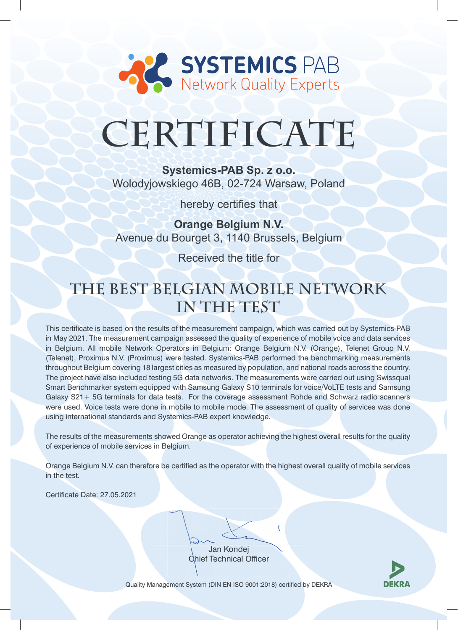

# **CERTIFICATE**

**Systemics-PAB Sp. z o.o.**  Wolodyjowskiego 46B, 02-724 Warsaw, Poland

hereby certifies that

**Orange Belgium N.V.** Avenue du Bourget 3, 1140 Brussels, Belgium

Received the title for

## **The Best Belgian Mobile Network in The Test**

This certificate is based on the results of the measurement campaign, which was carried out by Systemics-PAB in May 2021. The measurement campaign assessed the quality of experience of mobile voice and data services in Belgium. All mobile Network Operators in Belgium: Orange Belgium N.V. (Orange), Telenet Group N.V. (Telenet), Proximus N.V. (Proximus) were tested. Systemics-PAB performed the benchmarking measurements throughout Belgium covering 18 largest cities as measured by population, and national roads across the country. The project have also included testing 5G data networks. The measurements were carried out using Swissqual Smart Benchmarker system equipped with Samsung Galaxy S10 terminals for voice/VoLTE tests and Samsung Galaxy S21+ 5G terminals for data tests. For the coverage assessment Rohde and Schwarz radio scanners were used. Voice tests were done in mobile to mobile mode. The assessment of quality of services was done using international standards and Systemics-PAB expert knowledge.

The results of the measurements showed Orange as operator achieving the highest overall results for the quality of experience of mobile services in Belgium.

Orange Belgium N.V. can therefore be certified as the operator with the highest overall quality of mobile services in the test.

Certificate Date: 27.05.2021

Jan Kondej Chief Technical Officer



Quality Management System (DIN EN ISO 9001:2018) certified by DEKRA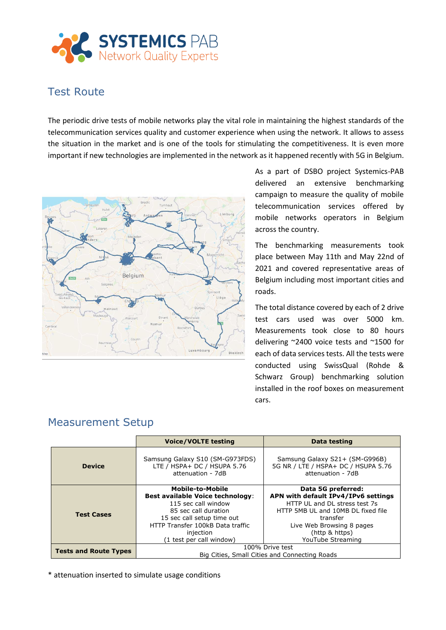

#### Test Route

The periodic drive tests of mobile networks play the vital role in maintaining the highest standards of the telecommunication services quality and customer experience when using the network. It allows to assess the situation in the market and is one of the tools for stimulating the competitiveness. It is even more important if new technologies are implemented in the network as it happened recently with 5G in Belgium.



As a part of DSBO project Systemics-PAB delivered an extensive benchmarking campaign to measure the quality of mobile telecommunication services offered by mobile networks operators in Belgium across the country.

The benchmarking measurements took place between May 11th and May 22nd of 2021 and covered representative areas of Belgium including most important cities and roads.

The total distance covered by each of 2 drive test cars used was over 5000 km. Measurements took close to 80 hours delivering ~2400 voice tests and ~1500 for each of data services tests. All the tests were conducted using SwissQual (Rohde & Schwarz Group) benchmarking solution installed in the roof boxes on measurement cars.

|                              | <b>Voice/VOLTE testing</b>                                                                                                                                                                                                   | Data testing                                                                                                                                                                                                     |
|------------------------------|------------------------------------------------------------------------------------------------------------------------------------------------------------------------------------------------------------------------------|------------------------------------------------------------------------------------------------------------------------------------------------------------------------------------------------------------------|
| <b>Device</b>                | Samsung Galaxy S10 (SM-G973FDS)<br>LTE / HSPA+ DC / HSUPA 5.76<br>attenuation - 7dB                                                                                                                                          | Samsung Galaxy S21+ (SM-G996B)<br>5G NR / LTE / HSPA+ DC / HSUPA 5.76<br>attenuation - 7dB                                                                                                                       |
| <b>Test Cases</b>            | <b>Mobile-to-Mobile</b><br><b>Best available Voice technology:</b><br>115 sec call window<br>85 sec call duration<br>15 sec call setup time out<br>HTTP Transfer 100kB Data traffic<br>injection<br>(1 test per call window) | Data 5G preferred:<br>APN with default IPv4/IPv6 settings<br>HTTP UL and DL stress test 7s<br>HTTP 5MB UL and 10MB DL fixed file<br>transfer<br>Live Web Browsing 8 pages<br>(http & https)<br>YouTube Streaming |
| <b>Tests and Route Types</b> | 100% Drive test<br>Big Cities, Small Cities and Connecting Roads                                                                                                                                                             |                                                                                                                                                                                                                  |

### Measurement Setup

\* attenuation inserted to simulate usage conditions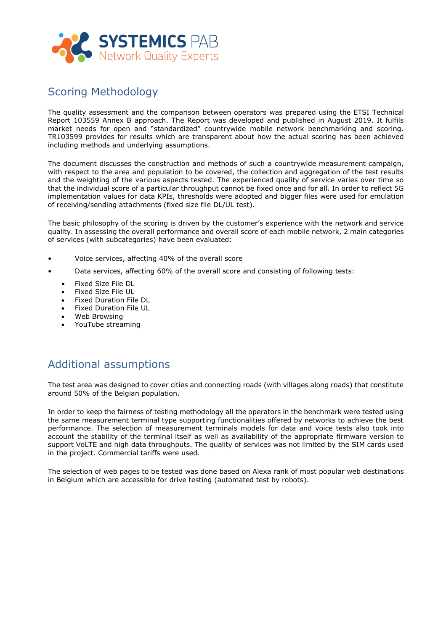

#### Scoring Methodology

The quality assessment and the comparison between operators was prepared using the ETSI Technical Report 103559 Annex B approach. The Report was developed and published in August 2019. It fulfils market needs for open and "standardized" countrywide mobile network benchmarking and scoring. TR103599 provides for results which are transparent about how the actual scoring has been achieved including methods and underlying assumptions.

The document discusses the construction and methods of such a countrywide measurement campaign, with respect to the area and population to be covered, the collection and aggregation of the test results and the weighting of the various aspects tested. The experienced quality of service varies over time so that the individual score of a particular throughput cannot be fixed once and for all. In order to reflect 5G implementation values for data KPIs, thresholds were adopted and bigger files were used for emulation of receiving/sending attachments (fixed size file DL/UL test).

The basic philosophy of the scoring is driven by the customer's experience with the network and service quality. In assessing the overall performance and overall score of each mobile network, 2 main categories of services (with subcategories) have been evaluated:

- Voice services, affecting 40% of the overall score
- Data services, affecting 60% of the overall score and consisting of following tests:
	- Fixed Size File DL
	- Fixed Size File UL
	- Fixed Duration File DL
	- Fixed Duration File UL
	- Web Browsing
	- YouTube streaming

#### Additional assumptions

The test area was designed to cover cities and connecting roads (with villages along roads) that constitute around 50% of the Belgian population.

In order to keep the fairness of testing methodology all the operators in the benchmark were tested using the same measurement terminal type supporting functionalities offered by networks to achieve the best performance. The selection of measurement terminals models for data and voice tests also took into account the stability of the terminal itself as well as availability of the appropriate firmware version to support VoLTE and high data throughputs. The quality of services was not limited by the SIM cards used in the project. Commercial tariffs were used.

The selection of web pages to be tested was done based on Alexa rank of most popular web destinations in Belgium which are accessible for drive testing (automated test by robots).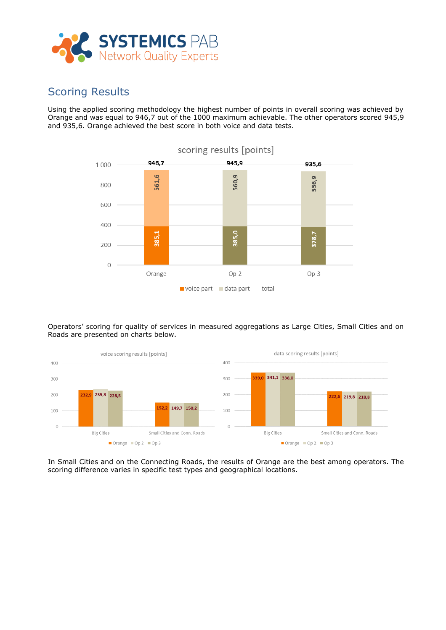

#### Scoring Results

Using the applied scoring methodology the highest number of points in overall scoring was achieved by Orange and was equal to 946,7 out of the 1000 maximum achievable. The other operators scored 945,9 and 935,6. Orange achieved the best score in both voice and data tests.



Operators' scoring for quality of services in measured aggregations as Large Cities, Small Cities and on Roads are presented on charts below.



In Small Cities and on the Connecting Roads, the results of Orange are the best among operators. The scoring difference varies in specific test types and geographical locations.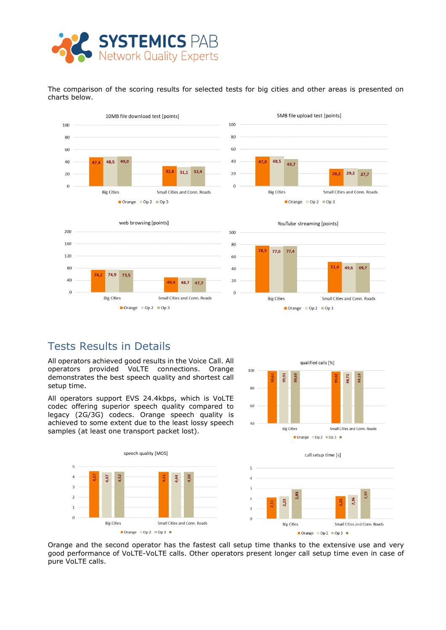

The comparison of the scoring results for selected tests for big cities and other areas is presented on charts below.



#### Tests Results in Details

All operators achieved good results in the Voice Call. All operators provided VoLTE connections. Orange demonstrates the best speech quality and shortest call setup time.

All operators support EVS 24.4kbps, which is VoLTE codec offering superior speech quality compared to legacy (2G/3G) codecs. Orange speech quality is achieved to some extent due to the least lossy speech samples (at least one transport packet lost).





Orange and the second operator has the fastest call setup time thanks to the extensive use and very good performance of VoLTE-VoLTE calls. Other operators present longer call setup time even in case of pure VoLTE calls.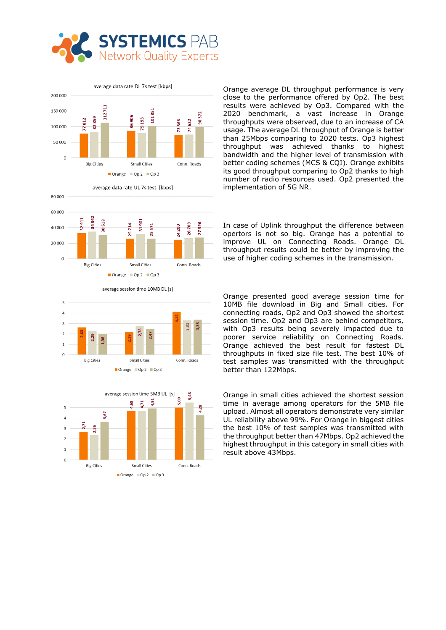



3,31 Ř  $\theta$ **Big Cities** Small Cities Conn. Roads Orange Op 2 Op 3



Orange average DL throughput performance is very close to the performance offered by Op2. The best results were achieved by Op3. Compared with the 2020 benchmark, a vast increase in Orange throughputs were observed, due to an increase of CA usage. The average DL throughput of Orange is better than 25Mbps comparing to 2020 tests. Op3 highest throughput was achieved thanks to highest bandwidth and the higher level of transmission with better coding schemes (MCS & CQI). Orange exhibits its good throughput comparing to Op2 thanks to high number of radio resources used. Op2 presented the implementation of 5G NR.

In case of Uplink throughput the difference between opertors is not so big. Orange has a potential to improve UL on Connecting Roads. Orange DL throughput results could be better by improving the use of higher coding schemes in the transmission.

Orange presented good average session time for 10MB file download in Big and Small cities. For connecting roads, Op2 and Op3 showed the shortest session time. Op2 and Op3 are behind competitors, with Op3 results being severely impacted due to poorer service reliability on Connecting Roads. Orange achieved the best result for fastest DL throughputs in fixed size file test. The best 10% of test samples was transmitted with the throughput better than 122Mbps.

Orange in small cities achieved the shortest session time in average among operators for the 5MB file upload. Almost all operators demonstrate very similar UL reliability above 99%. For Orange in biggest cities the best 10% of test samples was transmitted with the throughput better than 47Mbps. Op2 achieved the highest throughput in this category in small cities with result above 43Mbps.

average session time 10MB DL [s]